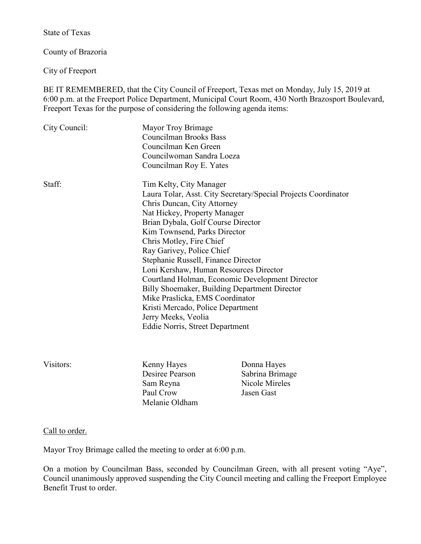State of Texas

County of Brazoria

City of Freeport

BE IT REMEMBERED, that the City Council of Freeport, Texas met on Monday, July 15, 2019 at 6:00 p.m. at the Freeport Police Department, Municipal Court Room, 430 North Brazosport Boulevard, Freeport Texas for the purpose of considering the following agenda items:

| City Council: | Mayor Troy Brimage<br><b>Councilman Brooks Bass</b><br>Councilman Ken Green<br>Councilwoman Sandra Loeza<br>Councilman Roy E. Yates                                                                                                                                                                                                                                                                                                                                                                                                                                                                            |
|---------------|----------------------------------------------------------------------------------------------------------------------------------------------------------------------------------------------------------------------------------------------------------------------------------------------------------------------------------------------------------------------------------------------------------------------------------------------------------------------------------------------------------------------------------------------------------------------------------------------------------------|
| Staff:        | Tim Kelty, City Manager<br>Laura Tolar, Asst. City Secretary/Special Projects Coordinator<br>Chris Duncan, City Attorney<br>Nat Hickey, Property Manager<br>Brian Dybala, Golf Course Director<br>Kim Townsend, Parks Director<br>Chris Motley, Fire Chief<br>Ray Garivey, Police Chief<br>Stephanie Russell, Finance Director<br>Loni Kershaw, Human Resources Director<br>Courtland Holman, Economic Development Director<br>Billy Shoemaker, Building Department Director<br>Mike Praslicka, EMS Coordinator<br>Kristi Mercado, Police Department<br>Jerry Meeks, Veolia<br>Eddie Norris, Street Department |

Visitors: Kenny Hayes Donna Hayes Desiree Pearson Sabrina Brimage Sam Reyna Nicole Mireles Paul Crow Jasen Gast Melanie Oldham

Call to order.

Mayor Troy Brimage called the meeting to order at 6:00 p.m.

On a motion by Councilman Bass, seconded by Councilman Green, with all present voting "Aye", Council unanimously approved suspending the City Council meeting and calling the Freeport Employee Benefit Trust to order.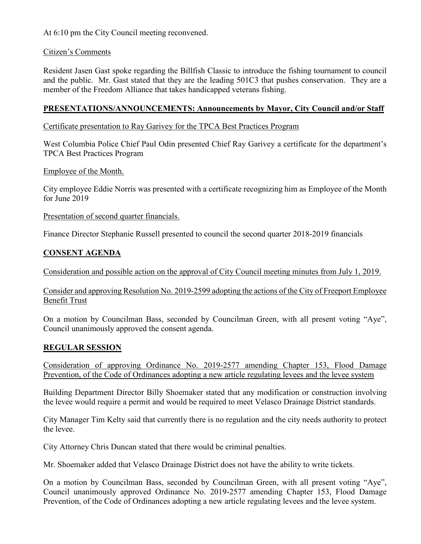At 6:10 pm the City Council meeting reconvened.

### Citizen's Comments

Resident Jasen Gast spoke regarding the Billfish Classic to introduce the fishing tournament to council and the public. Mr. Gast stated that they are the leading 501C3 that pushes conservation. They are a member of the Freedom Alliance that takes handicapped veterans fishing.

# **PRESENTATIONS/ANNOUNCEMENTS: Announcements by Mayor, City Council and/or Staff**

## Certificate presentation to Ray Garivey for the TPCA Best Practices Program

West Columbia Police Chief Paul Odin presented Chief Ray Garivey a certificate for the department's TPCA Best Practices Program

Employee of the Month.

City employee Eddie Norris was presented with a certificate recognizing him as Employee of the Month for June 2019

Presentation of second quarter financials.

Finance Director Stephanie Russell presented to council the second quarter 2018-2019 financials

## **CONSENT AGENDA**

Consideration and possible action on the approval of City Council meeting minutes from July 1, 2019.

Consider and approving Resolution No. 2019-2599 adopting the actions of the City of Freeport Employee Benefit Trust

On a motion by Councilman Bass, seconded by Councilman Green, with all present voting "Aye", Council unanimously approved the consent agenda.

## **REGULAR SESSION**

Consideration of approving Ordinance No. 2019-2577 amending Chapter 153, Flood Damage Prevention, of the Code of Ordinances adopting a new article regulating levees and the levee system

Building Department Director Billy Shoemaker stated that any modification or construction involving the levee would require a permit and would be required to meet Velasco Drainage District standards.

City Manager Tim Kelty said that currently there is no regulation and the city needs authority to protect the levee.

City Attorney Chris Duncan stated that there would be criminal penalties.

Mr. Shoemaker added that Velasco Drainage District does not have the ability to write tickets.

On a motion by Councilman Bass, seconded by Councilman Green, with all present voting "Aye", Council unanimously approved Ordinance No. 2019-2577 amending Chapter 153, Flood Damage Prevention, of the Code of Ordinances adopting a new article regulating levees and the levee system.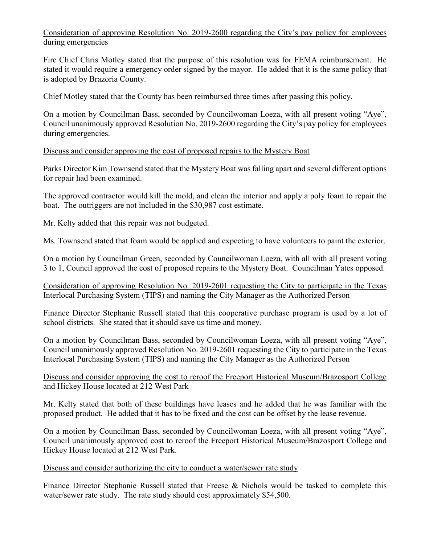# Consideration of approving Resolution No. 2019-2600 regarding the City's pay policy for employees during emergencies

Fire Chief Chris Motley stated that the purpose of this resolution was for FEMA reimbursement. He stated it would require a emergency order signed by the mayor. He added that it is the same policy that is adopted by Brazoria County.

Chief Motley stated that the County has been reimbursed three times after passing this policy.

On a motion by Councilman Bass, seconded by Councilwoman Loeza, with all present voting "Aye", Council unanimously approved Resolution No. 2019-2600 regarding the City's pay policy for employees during emergencies.

Discuss and consider approving the cost of proposed repairs to the Mystery Boat

Parks Director Kim Townsend stated that the Mystery Boat was falling apart and several different options for repair had been examined.

The approved contractor would kill the mold, and clean the interior and apply a poly foam to repair the boat. The outriggers are not included in the \$30,987 cost estimate.

Mr. Kelty added that this repair was not budgeted.

Ms. Townsend stated that foam would be applied and expecting to have volunteers to paint the exterior.

On a motion by Councilman Green, seconded by Councilwoman Loeza, with all with all present voting 3 to 1, Council approved the cost of proposed repairs to the Mystery Boat. Councilman Yates opposed.

Consideration of approving Resolution No. 2019-2601 requesting the City to participate in the Texas Interlocal Purchasing System (TIPS) and naming the City Manager as the Authorized Person

Finance Director Stephanie Russell stated that this cooperative purchase program is used by a lot of school districts. She stated that it should save us time and money.

On a motion by Councilman Bass, seconded by Councilwoman Loeza, with all present voting "Aye", Council unanimously approved Resolution No. 2019-2601 requesting the City to participate in the Texas Interlocal Purchasing System (TIPS) and naming the City Manager as the Authorized Person

#### Discuss and consider approving the cost to reroof the Freeport Historical Museum/Brazosport College and Hickey House located at 212 West Park

Mr. Kelty stated that both of these buildings have leases and he added that he was familiar with the proposed product. He added that it has to be fixed and the cost can be offset by the lease revenue.

On a motion by Councilman Bass, seconded by Councilwoman Loeza, with all present voting "Aye", Council unanimously approved cost to reroof the Freeport Historical Museum/Brazosport College and Hickey House located at 212 West Park.

#### Discuss and consider authorizing the city to conduct a water/sewer rate study

Finance Director Stephanie Russell stated that Freese & Nichols would be tasked to complete this water/sewer rate study. The rate study should cost approximately \$54,500.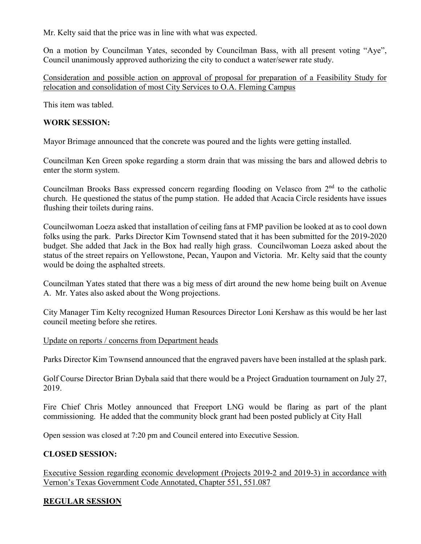Mr. Kelty said that the price was in line with what was expected.

On a motion by Councilman Yates, seconded by Councilman Bass, with all present voting "Aye", Council unanimously approved authorizing the city to conduct a water/sewer rate study.

Consideration and possible action on approval of proposal for preparation of a Feasibility Study for relocation and consolidation of most City Services to O.A. Fleming Campus

This item was tabled.

#### **WORK SESSION:**

Mayor Brimage announced that the concrete was poured and the lights were getting installed.

Councilman Ken Green spoke regarding a storm drain that was missing the bars and allowed debris to enter the storm system.

Councilman Brooks Bass expressed concern regarding flooding on Velasco from  $2<sup>nd</sup>$  to the catholic church. He questioned the status of the pump station. He added that Acacia Circle residents have issues flushing their toilets during rains.

Councilwoman Loeza asked that installation of ceiling fans at FMP pavilion be looked at as to cool down folks using the park. Parks Director Kim Townsend stated that it has been submitted for the 2019-2020 budget. She added that Jack in the Box had really high grass. Councilwoman Loeza asked about the status of the street repairs on Yellowstone, Pecan, Yaupon and Victoria. Mr. Kelty said that the county would be doing the asphalted streets.

Councilman Yates stated that there was a big mess of dirt around the new home being built on Avenue A. Mr. Yates also asked about the Wong projections.

City Manager Tim Kelty recognized Human Resources Director Loni Kershaw as this would be her last council meeting before she retires.

#### Update on reports / concerns from Department heads

Parks Director Kim Townsend announced that the engraved pavers have been installed at the splash park.

Golf Course Director Brian Dybala said that there would be a Project Graduation tournament on July 27, 2019.

Fire Chief Chris Motley announced that Freeport LNG would be flaring as part of the plant commissioning. He added that the community block grant had been posted publicly at City Hall

Open session was closed at 7:20 pm and Council entered into Executive Session.

#### **CLOSED SESSION:**

Executive Session regarding economic development (Projects 2019-2 and 2019-3) in accordance with Vernon's Texas Government Code Annotated, Chapter 551, 551.087

## **REGULAR SESSION**